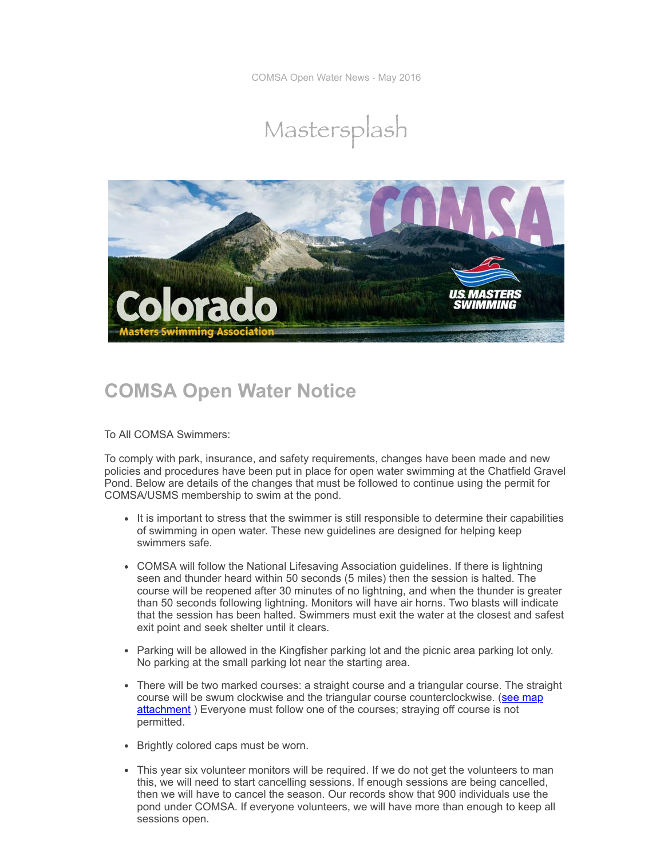COMSA Open Water News - May 2016





## **COMSA Open Water Notice**

To All COMSA Swimmers:

To comply with park, insurance, and safety requirements, changes have been made and new policies and procedures have been put in place for open water swimming at the Chatfield Gravel Pond. Below are details of the changes that must be followed to continue using the permit for COMSA/USMS membership to swim at the pond.

- It is important to stress that the swimmer is still responsible to determine their capabilities of swimming in open water. These new guidelines are designed for helping keep swimmers safe.
- COMSA will follow the National Lifesaving Association guidelines. If there is lightning seen and thunder heard within 50 seconds (5 miles) then the session is halted. The course will be reopened after 30 minutes of no lightning, and when the thunder is greater than 50 seconds following lightning. Monitors will have air horns. Two blasts will indicate that the session has been halted. Swimmers must exit the water at the closest and safest exit point and seek shelter until it clears.
- Parking will be allowed in the Kingfisher parking lot and the picnic area parking lot only. No parking at the small parking lot near the starting area.
- There will be two marked courses: a straight course and a triangular course. The straight course will be swum clockwise and the triangular course [counterclockwise.](http://www.comsa.org/pdf%20downloads/Chatfield%20Map_Exhibit%20A%20_052016.pdf) (see map attachment ) Everyone must follow one of the courses; straying off course is not permitted.
- Brightly colored caps must be worn.
- This year six volunteer monitors will be required. If we do not get the volunteers to man this, we will need to start cancelling sessions. If enough sessions are being cancelled, then we will have to cancel the season. Our records show that 900 individuals use the pond under COMSA. If everyone volunteers, we will have more than enough to keep all sessions open.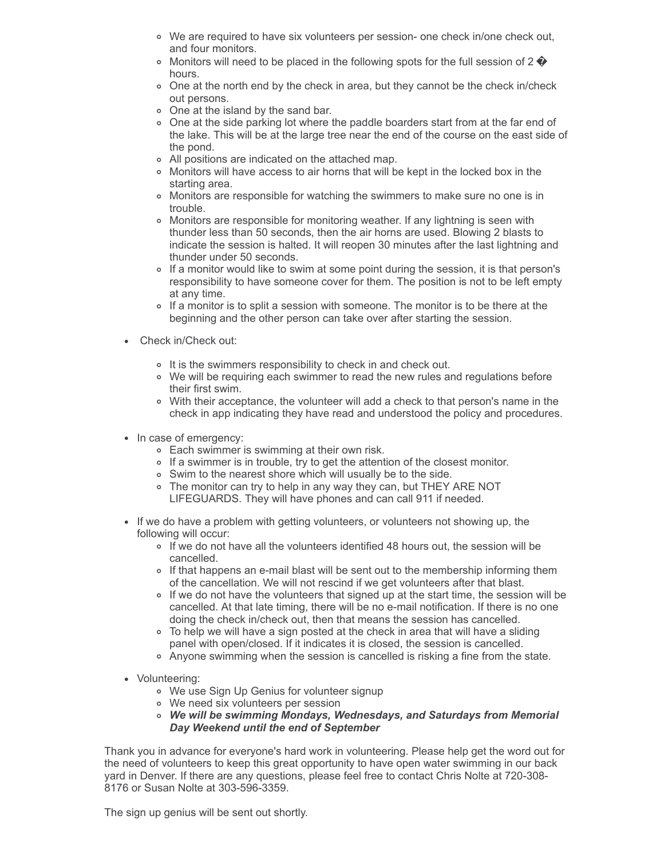- We are required to have six volunteers per session- one check in/one check out, and four monitors.
- $\circ$  Monitors will need to be placed in the following spots for the full session of 2  $\bullet$ hours.
- One at the north end by the check in area, but they cannot be the check in/check out persons.
- o One at the island by the sand bar.
- One at the side parking lot where the paddle boarders start from at the far end of the lake. This will be at the large tree near the end of the course on the east side of the pond.
- All positions are indicated on the attached map.
- Monitors will have access to air horns that will be kept in the locked box in the starting area.
- Monitors are responsible for watching the swimmers to make sure no one is in trouble.
- Monitors are responsible for monitoring weather. If any lightning is seen with thunder less than 50 seconds, then the air horns are used. Blowing 2 blasts to indicate the session is halted. It will reopen 30 minutes after the last lightning and thunder under 50 seconds.
- o If a monitor would like to swim at some point during the session, it is that person's responsibility to have someone cover for them. The position is not to be left empty at any time.
- If a monitor is to split a session with someone. The monitor is to be there at the beginning and the other person can take over after starting the session.
- Check in/Check out:
	- o It is the swimmers responsibility to check in and check out.
	- We will be requiring each swimmer to read the new rules and regulations before their first swim.
	- With their acceptance, the volunteer will add a check to that person's name in the check in app indicating they have read and understood the policy and procedures.
- In case of emergency:
	- Each swimmer is swimming at their own risk.
	- If a swimmer is in trouble, try to get the attention of the closest monitor.
	- Swim to the nearest shore which will usually be to the side.
	- The monitor can try to help in any way they can, but THEY ARE NOT LIFEGUARDS. They will have phones and can call 911 if needed.
- If we do have a problem with getting volunteers, or volunteers not showing up, the following will occur:
	- If we do not have all the volunteers identified 48 hours out, the session will be cancelled.
	- If that happens an e-mail blast will be sent out to the membership informing them of the cancellation. We will not rescind if we get volunteers after that blast.
	- $\circ$  If we do not have the volunteers that signed up at the start time, the session will be cancelled. At that late timing, there will be no e-mail notification. If there is no one doing the check in/check out, then that means the session has cancelled.
	- To help we will have a sign posted at the check in area that will have a sliding panel with open/closed. If it indicates it is closed, the session is cancelled.
	- Anyone swimming when the session is cancelled is risking a fine from the state.
- Volunteering:
	- We use Sign Up Genius for volunteer signup
	- We need six volunteers per session
	- *We will be swimming Mondays, Wednesdays, and Saturdays from Memorial Day Weekend until the end of September*

Thank you in advance for everyone's hard work in volunteering. Please help get the word out for the need of volunteers to keep this great opportunity to have open water swimming in our back yard in Denver. If there are any questions, please feel free to contact Chris Nolte at 720-308- 8176 or Susan Nolte at 303-596-3359.

The sign up genius will be sent out shortly.